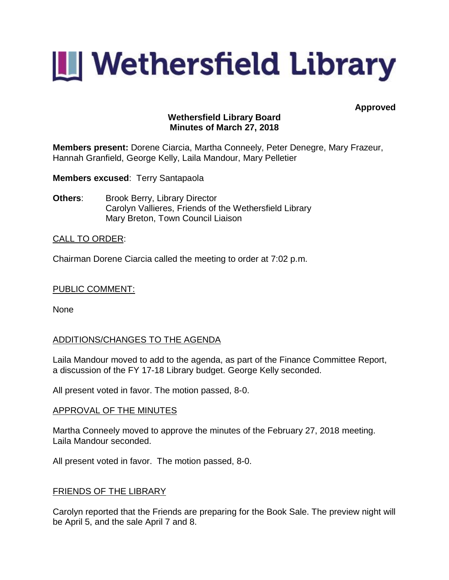

**Approved**

# **Wethersfield Library Board Minutes of March 27, 2018**

**Members present:** Dorene Ciarcia, Martha Conneely, Peter Denegre, Mary Frazeur, Hannah Granfield, George Kelly, Laila Mandour, Mary Pelletier

**Members excused**: Terry Santapaola

**Others:** Brook Berry, Library Director Carolyn Vallieres, Friends of the Wethersfield Library Mary Breton, Town Council Liaison

## CALL TO ORDER:

Chairman Dorene Ciarcia called the meeting to order at 7:02 p.m.

## PUBLIC COMMENT:

None

# ADDITIONS/CHANGES TO THE AGENDA

Laila Mandour moved to add to the agenda, as part of the Finance Committee Report, a discussion of the FY 17-18 Library budget. George Kelly seconded.

All present voted in favor. The motion passed, 8-0.

## APPROVAL OF THE MINUTES

Martha Conneely moved to approve the minutes of the February 27, 2018 meeting. Laila Mandour seconded.

All present voted in favor. The motion passed, 8-0.

## FRIENDS OF THE LIBRARY

Carolyn reported that the Friends are preparing for the Book Sale. The preview night will be April 5, and the sale April 7 and 8.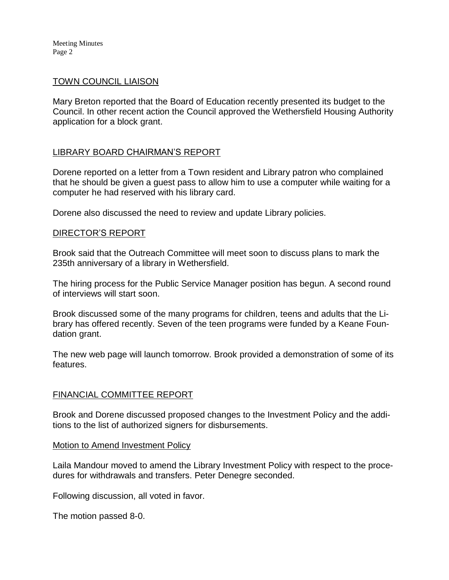Meeting Minutes Page 2

## TOWN COUNCIL LIAISON

Mary Breton reported that the Board of Education recently presented its budget to the Council. In other recent action the Council approved the Wethersfield Housing Authority application for a block grant.

# LIBRARY BOARD CHAIRMAN'S REPORT

Dorene reported on a letter from a Town resident and Library patron who complained that he should be given a guest pass to allow him to use a computer while waiting for a computer he had reserved with his library card.

Dorene also discussed the need to review and update Library policies.

## DIRECTOR'S REPORT

Brook said that the Outreach Committee will meet soon to discuss plans to mark the 235th anniversary of a library in Wethersfield.

The hiring process for the Public Service Manager position has begun. A second round of interviews will start soon.

Brook discussed some of the many programs for children, teens and adults that the Library has offered recently. Seven of the teen programs were funded by a Keane Foundation grant.

The new web page will launch tomorrow. Brook provided a demonstration of some of its features.

## FINANCIAL COMMITTEE REPORT

Brook and Dorene discussed proposed changes to the Investment Policy and the additions to the list of authorized signers for disbursements.

#### Motion to Amend Investment Policy

Laila Mandour moved to amend the Library Investment Policy with respect to the procedures for withdrawals and transfers. Peter Denegre seconded.

Following discussion, all voted in favor.

The motion passed 8-0.